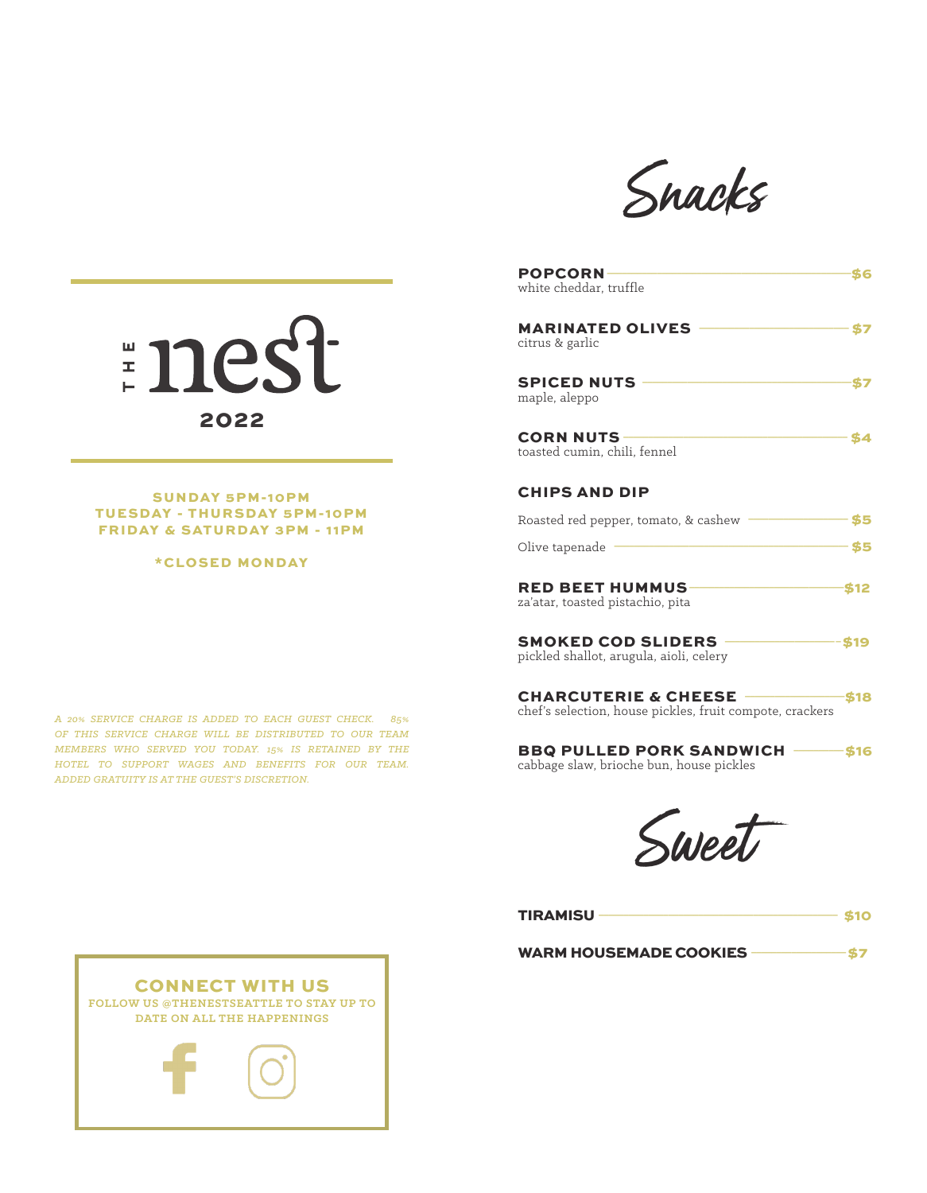

| <b>POPCORN</b><br>white cheddar, truffle                                                      |  |
|-----------------------------------------------------------------------------------------------|--|
| <b>MARINATED OLIVES</b><br>citrus & garlic                                                    |  |
| <b>SPICED NUTS</b><br>maple, aleppo                                                           |  |
| <b>CORN NUTS</b><br>toasted cumin, chili, fennel                                              |  |
| <b>CHIPS AND DIP</b>                                                                          |  |
| Roasted red pepper, tomato, & cashew                                                          |  |
| Olive tapenade                                                                                |  |
| <b>RED BEET HUMMUS-</b><br>za'atar, toasted pistachio, pita                                   |  |
| <b>SMOKED COD SLIDERS -</b><br>pickled shallot, arugula, aioli, celery                        |  |
| <b>CHARCUTERIE &amp; CHEESE -</b><br>chef's selection, house pickles, fruit compote, crackers |  |
| <b>BBQ PULLED PORK SANDWICH -</b><br>cabbage slaw, brioche bun, house pickles                 |  |

Sweet

| <b>TIRAMISU</b>               | $\cdot$ S10 |
|-------------------------------|-------------|
| <b>WARM HOUSEMADE COOKIES</b> |             |



SUNDAY 5PM-10PM TUESDAY - THURSDAY 5PM-10PM FRIDAY & SATURDAY 3PM - 11PM

\*CLOSED MONDAY

*A 20% SERVICE CHARGE IS ADDED TO EACH GUEST CHECK. 85% OF THIS SERVICE CHARGE WILL BE DISTRIBUTED TO OUR TEAM MEMBERS WHO SERVED YOU TODAY. 15% IS RETAINED BY THE HOTEL TO SUPPORT WAGES AND BENEFITS FOR OUR TEAM. ADDED GRATUITY IS AT THE GUEST'S DISCRETION.*

CONNECT WITH US **FOLLOW US @THENESTSEATTLE TO STAY UP TO DATE ON ALL THE HAPPENINGS**